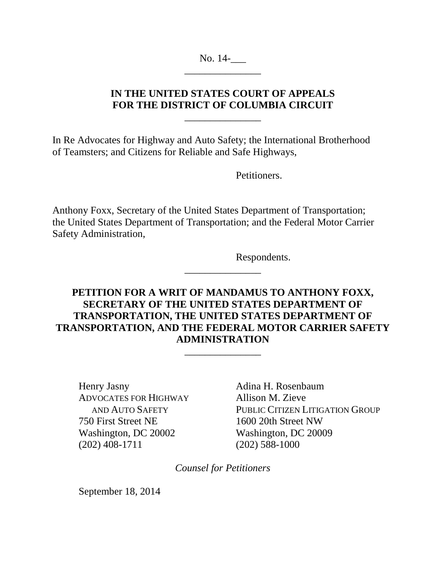No. 14-\_\_\_\_\_\_\_\_\_\_\_\_\_\_\_

# **IN THE UNITED STATES COURT OF APPEALS FOR THE DISTRICT OF COLUMBIA CIRCUIT**

\_\_\_\_\_\_\_\_\_\_\_\_\_\_\_

In Re Advocates for Highway and Auto Safety; the International Brotherhood of Teamsters; and Citizens for Reliable and Safe Highways,

Petitioners.

Anthony Foxx, Secretary of the United States Department of Transportation; the United States Department of Transportation; and the Federal Motor Carrier Safety Administration,

Respondents.

# **PETITION FOR A WRIT OF MANDAMUS TO ANTHONY FOXX, SECRETARY OF THE UNITED STATES DEPARTMENT OF TRANSPORTATION, THE UNITED STATES DEPARTMENT OF TRANSPORTATION, AND THE FEDERAL MOTOR CARRIER SAFETY ADMINISTRATION**

\_\_\_\_\_\_\_\_\_\_\_\_\_\_\_

\_\_\_\_\_\_\_\_\_\_\_\_\_\_\_

Henry Jasny Adina H. Rosenbaum ADVOCATES FOR HIGHWAY Allison M. Zieve 750 First Street NE 1600 20th Street NW Washington, DC 20002 Washington, DC 20009 (202) 408-1711 (202) 588-1000

AND AUTO SAFETY PUBLIC CITIZEN LITIGATION GROUP

*Counsel for Petitioners* 

September 18, 2014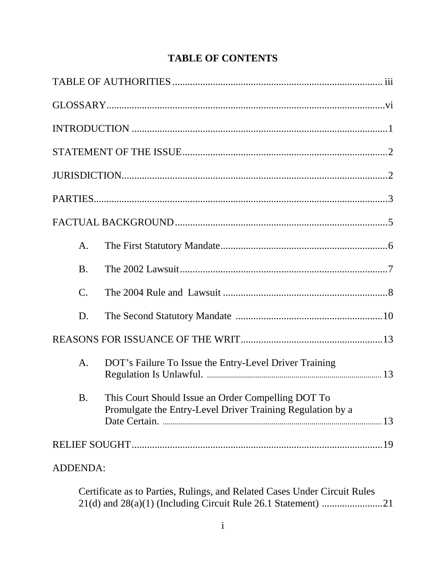|          | A.              |                                                                                                                  |  |
|----------|-----------------|------------------------------------------------------------------------------------------------------------------|--|
|          | <b>B.</b>       |                                                                                                                  |  |
|          | $\mathcal{C}$ . |                                                                                                                  |  |
|          | D.              |                                                                                                                  |  |
|          |                 |                                                                                                                  |  |
|          | A.              | DOT's Failure To Issue the Entry-Level Driver Training                                                           |  |
|          | <b>B.</b>       | This Court Should Issue an Order Compelling DOT To<br>Promulgate the Entry-Level Driver Training Regulation by a |  |
|          |                 |                                                                                                                  |  |
| ADDENDA: |                 |                                                                                                                  |  |

Certificate as to Parties, Rulings, and Related Cases Under Circuit Rules 21(d) and 28(a)(1) (Including Circuit Rule 26.1 Statement) ............................21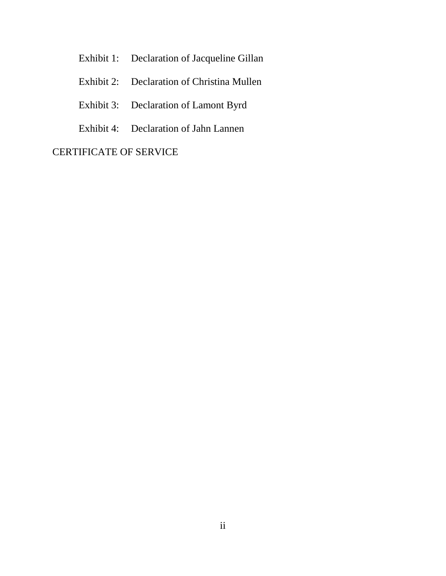- Exhibit 1: Declaration of Jacqueline Gillan
- Exhibit 2: Declaration of Christina Mullen
- Exhibit 3: Declaration of Lamont Byrd
- Exhibit 4: Declaration of Jahn Lannen

## CERTIFICATE OF SERVICE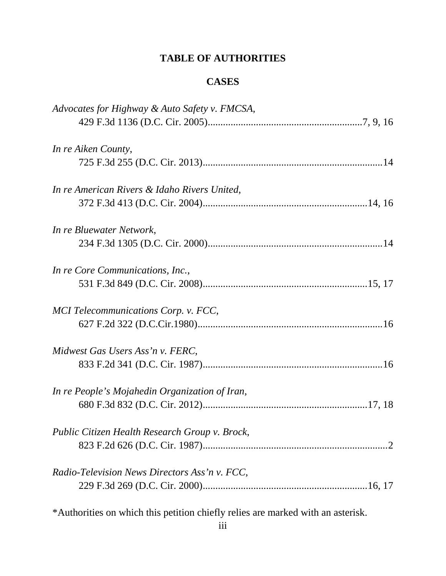# **TABLE OF AUTHORITIES**

## **CASES**

| Advocates for Highway & Auto Safety v. FMCSA,  |
|------------------------------------------------|
| In re Aiken County,                            |
|                                                |
| In re American Rivers & Idaho Rivers United,   |
| In re Bluewater Network,                       |
|                                                |
| In re Core Communications, Inc.,               |
| MCI Telecommunications Corp. v. FCC,           |
|                                                |
| Midwest Gas Users Ass'n v. FERC,               |
| In re People's Mojahedin Organization of Iran, |
| Public Citizen Health Research Group v. Brock, |
|                                                |
| Radio-Television News Directors Ass'n v. FCC,  |
|                                                |

\*Authorities on which this petition chiefly relies are marked with an asterisk.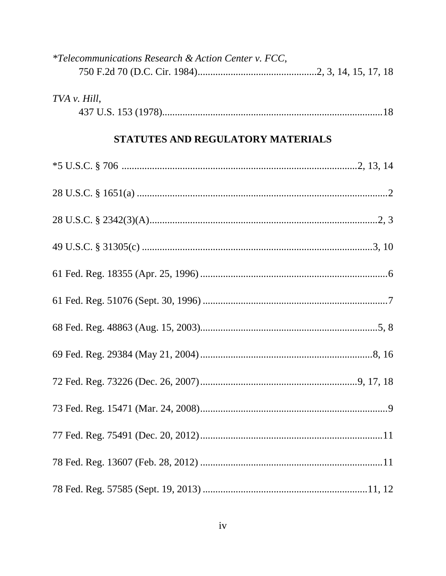| <i>*Telecommunications Research &amp; Action Center v. FCC,</i> |  |  |  |  |
|-----------------------------------------------------------------|--|--|--|--|
|                                                                 |  |  |  |  |
| TVA v. Hill,                                                    |  |  |  |  |
| STATUTES AND REGULATORY MATERIALS                               |  |  |  |  |
|                                                                 |  |  |  |  |
|                                                                 |  |  |  |  |
|                                                                 |  |  |  |  |
|                                                                 |  |  |  |  |
|                                                                 |  |  |  |  |
|                                                                 |  |  |  |  |
|                                                                 |  |  |  |  |
|                                                                 |  |  |  |  |
|                                                                 |  |  |  |  |
|                                                                 |  |  |  |  |
|                                                                 |  |  |  |  |
|                                                                 |  |  |  |  |
|                                                                 |  |  |  |  |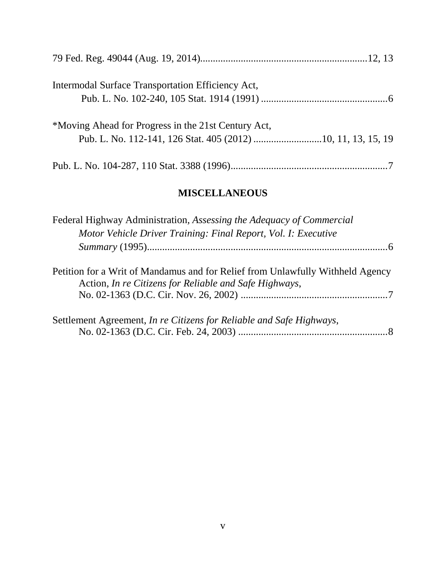| Intermodal Surface Transportation Efficiency Act,   |
|-----------------------------------------------------|
| *Moving Ahead for Progress in the 21st Century Act, |
|                                                     |

# **MISCELLANEOUS**

| Federal Highway Administration, Assessing the Adequacy of Commercial                                                                     |
|------------------------------------------------------------------------------------------------------------------------------------------|
| Motor Vehicle Driver Training: Final Report, Vol. I: Executive                                                                           |
|                                                                                                                                          |
| Petition for a Writ of Mandamus and for Relief from Unlawfully Withheld Agency<br>Action, In re Citizens for Reliable and Safe Highways, |
|                                                                                                                                          |
| Settlement Agreement, In re Citizens for Reliable and Safe Highways,                                                                     |
|                                                                                                                                          |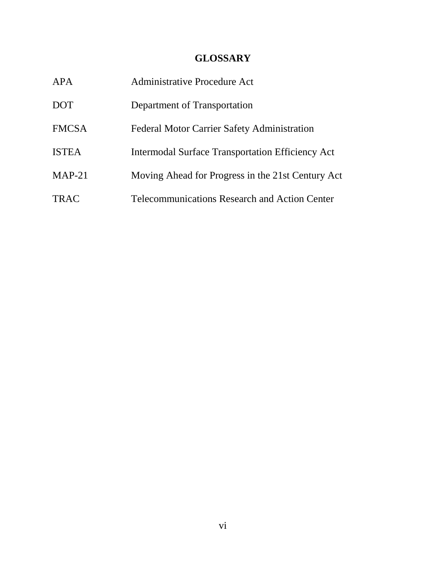# **GLOSSARY**

| APA          | Administrative Procedure Act                         |
|--------------|------------------------------------------------------|
| <b>DOT</b>   | Department of Transportation                         |
| <b>FMCSA</b> | <b>Federal Motor Carrier Safety Administration</b>   |
| <b>ISTEA</b> | Intermodal Surface Transportation Efficiency Act     |
| $MAP-21$     | Moving Ahead for Progress in the 21st Century Act    |
| <b>TRAC</b>  | <b>Telecommunications Research and Action Center</b> |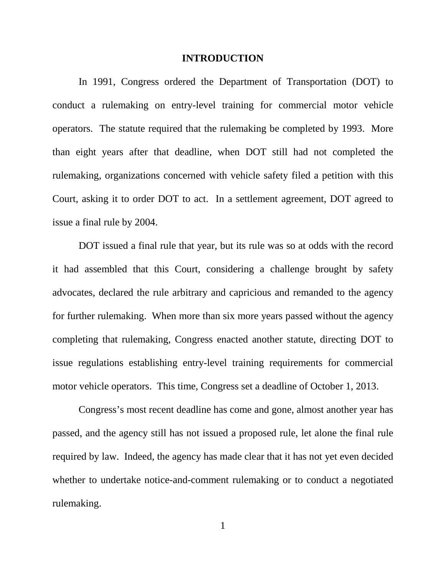#### **INTRODUCTION**

In 1991, Congress ordered the Department of Transportation (DOT) to conduct a rulemaking on entry-level training for commercial motor vehicle operators. The statute required that the rulemaking be completed by 1993. More than eight years after that deadline, when DOT still had not completed the rulemaking, organizations concerned with vehicle safety filed a petition with this Court, asking it to order DOT to act. In a settlement agreement, DOT agreed to issue a final rule by 2004.

DOT issued a final rule that year, but its rule was so at odds with the record it had assembled that this Court, considering a challenge brought by safety advocates, declared the rule arbitrary and capricious and remanded to the agency for further rulemaking. When more than six more years passed without the agency completing that rulemaking, Congress enacted another statute, directing DOT to issue regulations establishing entry-level training requirements for commercial motor vehicle operators. This time, Congress set a deadline of October 1, 2013.

Congress's most recent deadline has come and gone, almost another year has passed, and the agency still has not issued a proposed rule, let alone the final rule required by law. Indeed, the agency has made clear that it has not yet even decided whether to undertake notice-and-comment rulemaking or to conduct a negotiated rulemaking.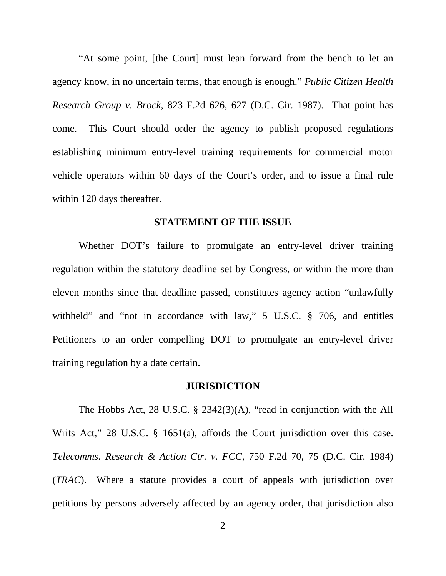"At some point, [the Court] must lean forward from the bench to let an agency know, in no uncertain terms, that enough is enough." *Public Citizen Health Research Group v. Brock*, 823 F.2d 626, 627 (D.C. Cir. 1987). That point has come. This Court should order the agency to publish proposed regulations establishing minimum entry-level training requirements for commercial motor vehicle operators within 60 days of the Court's order, and to issue a final rule within 120 days thereafter.

#### **STATEMENT OF THE ISSUE**

Whether DOT's failure to promulgate an entry-level driver training regulation within the statutory deadline set by Congress, or within the more than eleven months since that deadline passed, constitutes agency action "unlawfully withheld" and "not in accordance with law," 5 U.S.C. § 706, and entitles Petitioners to an order compelling DOT to promulgate an entry-level driver training regulation by a date certain.

#### **JURISDICTION**

The Hobbs Act, 28 U.S.C. § 2342(3)(A), "read in conjunction with the All Writs Act," 28 U.S.C. § 1651(a), affords the Court jurisdiction over this case. *Telecomms. Research & Action Ctr. v. FCC*, 750 F.2d 70, 75 (D.C. Cir. 1984) (*TRAC*). Where a statute provides a court of appeals with jurisdiction over petitions by persons adversely affected by an agency order, that jurisdiction also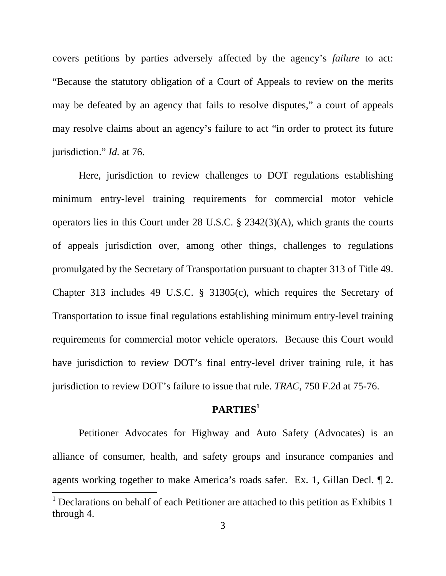covers petitions by parties adversely affected by the agency's *failure* to act: "Because the statutory obligation of a Court of Appeals to review on the merits may be defeated by an agency that fails to resolve disputes," a court of appeals may resolve claims about an agency's failure to act "in order to protect its future jurisdiction." *Id.* at 76.

 Here, jurisdiction to review challenges to DOT regulations establishing minimum entry-level training requirements for commercial motor vehicle operators lies in this Court under 28 U.S.C. § 2342(3)(A), which grants the courts of appeals jurisdiction over, among other things, challenges to regulations promulgated by the Secretary of Transportation pursuant to chapter 313 of Title 49. Chapter 313 includes 49 U.S.C. § 31305(c), which requires the Secretary of Transportation to issue final regulations establishing minimum entry-level training requirements for commercial motor vehicle operators. Because this Court would have jurisdiction to review DOT's final entry-level driver training rule, it has jurisdiction to review DOT's failure to issue that rule. *TRAC*, 750 F.2d at 75-76.

## **PARTIES<sup>1</sup>**

Petitioner Advocates for Highway and Auto Safety (Advocates) is an alliance of consumer, health, and safety groups and insurance companies and agents working together to make America's roads safer. Ex. 1, Gillan Decl. ¶ 2.

 $\overline{a}$ 

<sup>&</sup>lt;sup>1</sup> Declarations on behalf of each Petitioner are attached to this petition as Exhibits 1 through 4.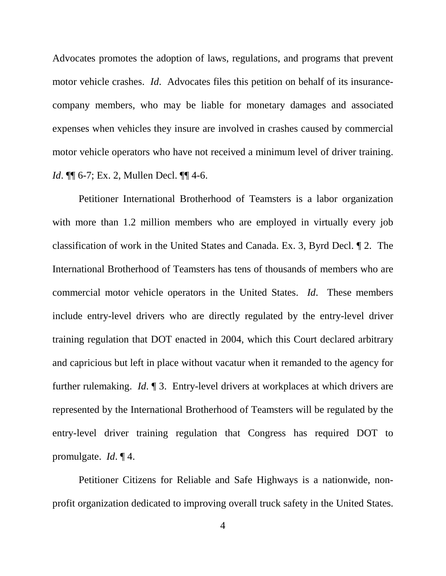Advocates promotes the adoption of laws, regulations, and programs that prevent motor vehicle crashes. *Id*. Advocates files this petition on behalf of its insurancecompany members, who may be liable for monetary damages and associated expenses when vehicles they insure are involved in crashes caused by commercial motor vehicle operators who have not received a minimum level of driver training. *Id*. ¶¶ 6-7; Ex. 2, Mullen Decl. ¶¶ 4-6.

Petitioner International Brotherhood of Teamsters is a labor organization with more than 1.2 million members who are employed in virtually every job classification of work in the United States and Canada. Ex. 3, Byrd Decl. ¶ 2. The International Brotherhood of Teamsters has tens of thousands of members who are commercial motor vehicle operators in the United States. *Id*. These members include entry-level drivers who are directly regulated by the entry-level driver training regulation that DOT enacted in 2004, which this Court declared arbitrary and capricious but left in place without vacatur when it remanded to the agency for further rulemaking. *Id*. ¶ 3. Entry-level drivers at workplaces at which drivers are represented by the International Brotherhood of Teamsters will be regulated by the entry-level driver training regulation that Congress has required DOT to promulgate. *Id*. ¶ 4.

Petitioner Citizens for Reliable and Safe Highways is a nationwide, nonprofit organization dedicated to improving overall truck safety in the United States.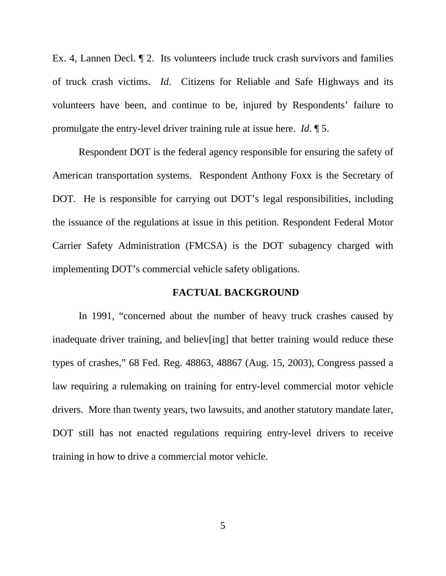Ex. 4, Lannen Decl. ¶ 2. Its volunteers include truck crash survivors and families of truck crash victims. *Id*. Citizens for Reliable and Safe Highways and its volunteers have been, and continue to be, injured by Respondents' failure to promulgate the entry-level driver training rule at issue here. *Id*. ¶ 5.

Respondent DOT is the federal agency responsible for ensuring the safety of American transportation systems. Respondent Anthony Foxx is the Secretary of DOT. He is responsible for carrying out DOT's legal responsibilities, including the issuance of the regulations at issue in this petition. Respondent Federal Motor Carrier Safety Administration (FMCSA) is the DOT subagency charged with implementing DOT's commercial vehicle safety obligations.

## **FACTUAL BACKGROUND**

In 1991, "concerned about the number of heavy truck crashes caused by inadequate driver training, and believ[ing] that better training would reduce these types of crashes," 68 Fed. Reg. 48863, 48867 (Aug. 15, 2003), Congress passed a law requiring a rulemaking on training for entry-level commercial motor vehicle drivers. More than twenty years, two lawsuits, and another statutory mandate later, DOT still has not enacted regulations requiring entry-level drivers to receive training in how to drive a commercial motor vehicle.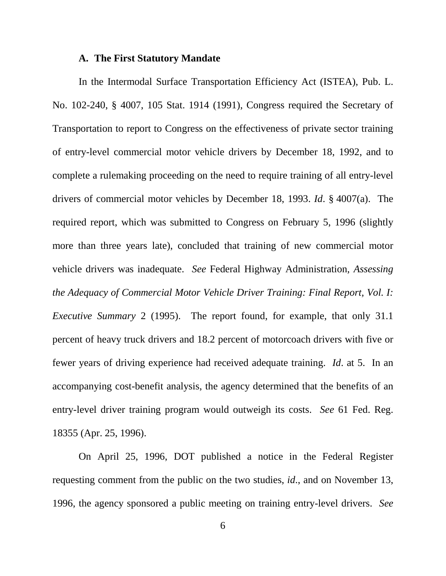#### **A. The First Statutory Mandate**

In the Intermodal Surface Transportation Efficiency Act (ISTEA), Pub. L. No. 102-240, § 4007, 105 Stat. 1914 (1991), Congress required the Secretary of Transportation to report to Congress on the effectiveness of private sector training of entry-level commercial motor vehicle drivers by December 18, 1992, and to complete a rulemaking proceeding on the need to require training of all entry-level drivers of commercial motor vehicles by December 18, 1993. *Id*. § 4007(a). The required report, which was submitted to Congress on February 5, 1996 (slightly more than three years late), concluded that training of new commercial motor vehicle drivers was inadequate. *See* Federal Highway Administration*, Assessing the Adequacy of Commercial Motor Vehicle Driver Training: Final Report, Vol. I: Executive Summary* 2 (1995). The report found, for example, that only 31.1 percent of heavy truck drivers and 18.2 percent of motorcoach drivers with five or fewer years of driving experience had received adequate training. *Id*. at 5. In an accompanying cost-benefit analysis, the agency determined that the benefits of an entry-level driver training program would outweigh its costs. *See* 61 Fed. Reg. 18355 (Apr. 25, 1996).

On April 25, 1996, DOT published a notice in the Federal Register requesting comment from the public on the two studies, *id*., and on November 13, 1996, the agency sponsored a public meeting on training entry-level drivers. *See*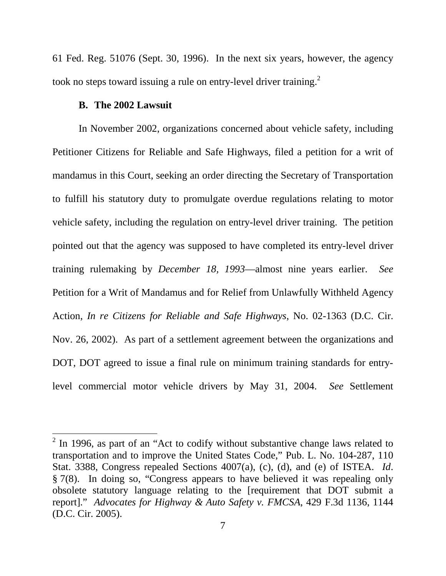61 Fed. Reg. 51076 (Sept. 30, 1996). In the next six years, however, the agency took no steps toward issuing a rule on entry-level driver training.<sup>2</sup>

## **B. The 2002 Lawsuit**

 $\overline{a}$ 

 In November 2002, organizations concerned about vehicle safety, including Petitioner Citizens for Reliable and Safe Highways, filed a petition for a writ of mandamus in this Court, seeking an order directing the Secretary of Transportation to fulfill his statutory duty to promulgate overdue regulations relating to motor vehicle safety, including the regulation on entry-level driver training. The petition pointed out that the agency was supposed to have completed its entry-level driver training rulemaking by *December 18, 1993*—almost nine years earlier. *See* Petition for a Writ of Mandamus and for Relief from Unlawfully Withheld Agency Action, *In re Citizens for Reliable and Safe Highways*, No. 02-1363 (D.C. Cir. Nov. 26, 2002). As part of a settlement agreement between the organizations and DOT, DOT agreed to issue a final rule on minimum training standards for entrylevel commercial motor vehicle drivers by May 31, 2004. *See* Settlement

 $2$  In 1996, as part of an "Act to codify without substantive change laws related to transportation and to improve the United States Code," Pub. L. No. 104-287, 110 Stat. 3388, Congress repealed Sections 4007(a), (c), (d), and (e) of ISTEA. *Id*. § 7(8). In doing so, "Congress appears to have believed it was repealing only obsolete statutory language relating to the [requirement that DOT submit a report]." *Advocates for Highway & Auto Safety v. FMCSA*, 429 F.3d 1136, 1144 (D.C. Cir. 2005).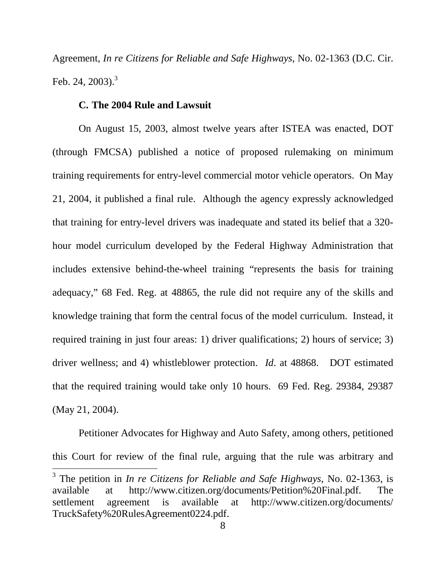Agreement, *In re Citizens for Reliable and Safe Highways*, No. 02-1363 (D.C. Cir. Feb. 24,  $2003$ ).<sup>3</sup>

#### **C. The 2004 Rule and Lawsuit**

 $\overline{a}$ 

On August 15, 2003, almost twelve years after ISTEA was enacted, DOT (through FMCSA) published a notice of proposed rulemaking on minimum training requirements for entry-level commercial motor vehicle operators. On May 21, 2004, it published a final rule. Although the agency expressly acknowledged that training for entry-level drivers was inadequate and stated its belief that a 320 hour model curriculum developed by the Federal Highway Administration that includes extensive behind-the-wheel training "represents the basis for training adequacy," 68 Fed. Reg. at 48865, the rule did not require any of the skills and knowledge training that form the central focus of the model curriculum. Instead, it required training in just four areas: 1) driver qualifications; 2) hours of service; 3) driver wellness; and 4) whistleblower protection. *Id*. at 48868. DOT estimated that the required training would take only 10 hours. 69 Fed. Reg. 29384, 29387 (May 21, 2004).

Petitioner Advocates for Highway and Auto Safety, among others, petitioned this Court for review of the final rule, arguing that the rule was arbitrary and

<sup>3</sup> The petition in *In re Citizens for Reliable and Safe Highways*, No. 02-1363, is available at http://www.citizen.org/documents/Petition%20Final.pdf. The settlement agreement is available at http://www.citizen.org/documents/ TruckSafety%20RulesAgreement0224.pdf.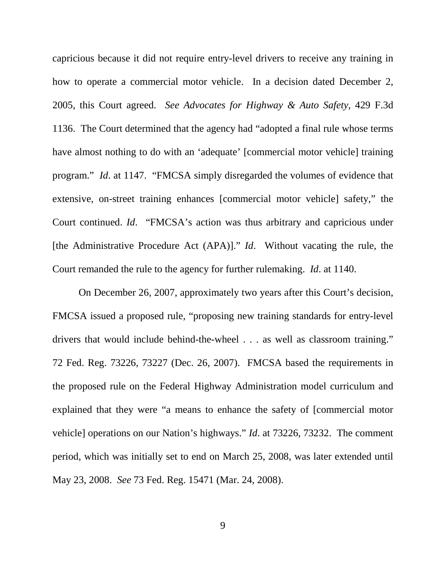capricious because it did not require entry-level drivers to receive any training in how to operate a commercial motor vehicle. In a decision dated December 2, 2005, this Court agreed. *See Advocates for Highway & Auto Safety*, 429 F.3d 1136. The Court determined that the agency had "adopted a final rule whose terms have almost nothing to do with an 'adequate' [commercial motor vehicle] training program." *Id*. at 1147. "FMCSA simply disregarded the volumes of evidence that extensive, on-street training enhances [commercial motor vehicle] safety," the Court continued. *Id*. "FMCSA's action was thus arbitrary and capricious under [the Administrative Procedure Act (APA)]." *Id*. Without vacating the rule, the Court remanded the rule to the agency for further rulemaking. *Id*. at 1140.

On December 26, 2007, approximately two years after this Court's decision, FMCSA issued a proposed rule, "proposing new training standards for entry-level drivers that would include behind-the-wheel . . . as well as classroom training." 72 Fed. Reg. 73226, 73227 (Dec. 26, 2007). FMCSA based the requirements in the proposed rule on the Federal Highway Administration model curriculum and explained that they were "a means to enhance the safety of [commercial motor vehicle] operations on our Nation's highways." *Id*. at 73226, 73232. The comment period, which was initially set to end on March 25, 2008, was later extended until May 23, 2008. *See* 73 Fed. Reg. 15471 (Mar. 24, 2008).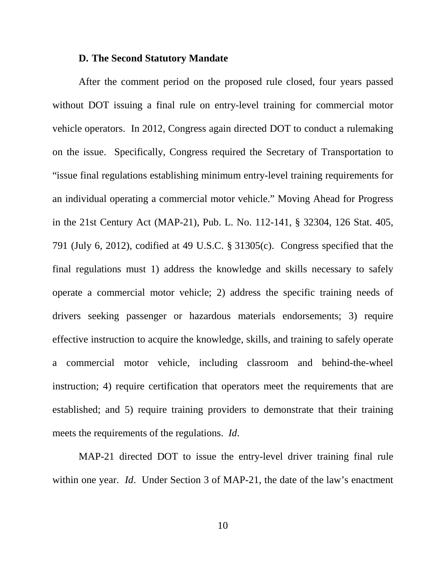#### **D. The Second Statutory Mandate**

After the comment period on the proposed rule closed, four years passed without DOT issuing a final rule on entry-level training for commercial motor vehicle operators. In 2012, Congress again directed DOT to conduct a rulemaking on the issue. Specifically, Congress required the Secretary of Transportation to "issue final regulations establishing minimum entry-level training requirements for an individual operating a commercial motor vehicle." Moving Ahead for Progress in the 21st Century Act (MAP-21), Pub. L. No. 112-141, § 32304, 126 Stat. 405, 791 (July 6, 2012), codified at 49 U.S.C. § 31305(c). Congress specified that the final regulations must 1) address the knowledge and skills necessary to safely operate a commercial motor vehicle; 2) address the specific training needs of drivers seeking passenger or hazardous materials endorsements; 3) require effective instruction to acquire the knowledge, skills, and training to safely operate a commercial motor vehicle, including classroom and behind-the-wheel instruction; 4) require certification that operators meet the requirements that are established; and 5) require training providers to demonstrate that their training meets the requirements of the regulations. *Id*.

MAP-21 directed DOT to issue the entry-level driver training final rule within one year. *Id*. Under Section 3 of MAP-21, the date of the law's enactment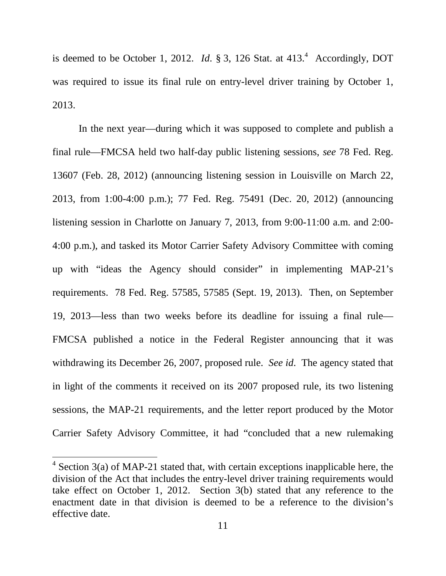is deemed to be October 1, 2012. *Id.*  $\S 3$ , 126 Stat. at  $413<sup>4</sup>$  Accordingly, DOT was required to issue its final rule on entry-level driver training by October 1, 2013.

In the next year—during which it was supposed to complete and publish a final rule—FMCSA held two half-day public listening sessions, *see* 78 Fed. Reg. 13607 (Feb. 28, 2012) (announcing listening session in Louisville on March 22, 2013, from 1:00-4:00 p.m.); 77 Fed. Reg. 75491 (Dec. 20, 2012) (announcing listening session in Charlotte on January 7, 2013, from 9:00-11:00 a.m. and 2:00- 4:00 p.m.), and tasked its Motor Carrier Safety Advisory Committee with coming up with "ideas the Agency should consider" in implementing MAP-21's requirements. 78 Fed. Reg. 57585, 57585 (Sept. 19, 2013). Then, on September 19, 2013—less than two weeks before its deadline for issuing a final rule— FMCSA published a notice in the Federal Register announcing that it was withdrawing its December 26, 2007, proposed rule. *See id*. The agency stated that in light of the comments it received on its 2007 proposed rule, its two listening sessions, the MAP-21 requirements, and the letter report produced by the Motor Carrier Safety Advisory Committee, it had "concluded that a new rulemaking

 $\overline{a}$ 

 $4$  Section 3(a) of MAP-21 stated that, with certain exceptions inapplicable here, the division of the Act that includes the entry-level driver training requirements would take effect on October 1, 2012. Section 3(b) stated that any reference to the enactment date in that division is deemed to be a reference to the division's effective date.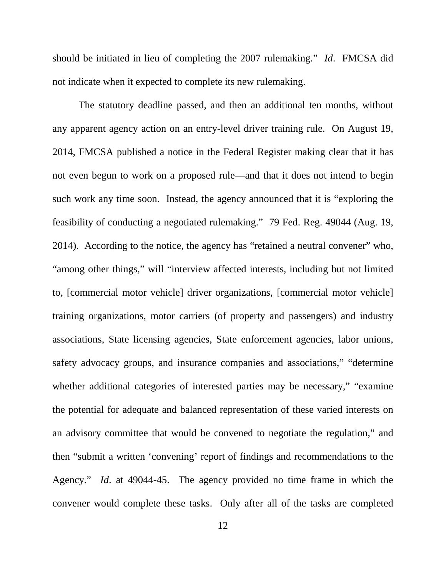should be initiated in lieu of completing the 2007 rulemaking." *Id*. FMCSA did not indicate when it expected to complete its new rulemaking.

The statutory deadline passed, and then an additional ten months, without any apparent agency action on an entry-level driver training rule. On August 19, 2014, FMCSA published a notice in the Federal Register making clear that it has not even begun to work on a proposed rule—and that it does not intend to begin such work any time soon. Instead, the agency announced that it is "exploring the feasibility of conducting a negotiated rulemaking." 79 Fed. Reg. 49044 (Aug. 19, 2014). According to the notice, the agency has "retained a neutral convener" who, "among other things," will "interview affected interests, including but not limited to, [commercial motor vehicle] driver organizations, [commercial motor vehicle] training organizations, motor carriers (of property and passengers) and industry associations, State licensing agencies, State enforcement agencies, labor unions, safety advocacy groups, and insurance companies and associations," "determine whether additional categories of interested parties may be necessary," "examine the potential for adequate and balanced representation of these varied interests on an advisory committee that would be convened to negotiate the regulation," and then "submit a written 'convening' report of findings and recommendations to the Agency." *Id*. at 49044-45. The agency provided no time frame in which the convener would complete these tasks. Only after all of the tasks are completed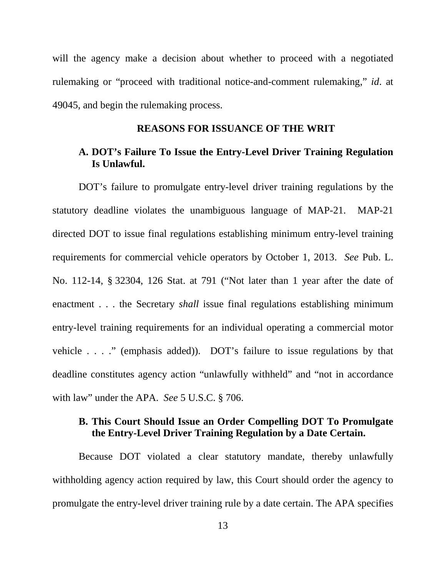will the agency make a decision about whether to proceed with a negotiated rulemaking or "proceed with traditional notice-and-comment rulemaking," *id*. at 49045, and begin the rulemaking process.

#### **REASONS FOR ISSUANCE OF THE WRIT**

## **A. DOT's Failure To Issue the Entry-Level Driver Training Regulation Is Unlawful.**

DOT's failure to promulgate entry-level driver training regulations by the statutory deadline violates the unambiguous language of MAP-21. MAP-21 directed DOT to issue final regulations establishing minimum entry-level training requirements for commercial vehicle operators by October 1, 2013. *See* Pub. L. No. 112-14, § 32304, 126 Stat. at 791 ("Not later than 1 year after the date of enactment . . . the Secretary *shall* issue final regulations establishing minimum entry-level training requirements for an individual operating a commercial motor vehicle . . . ." (emphasis added)). DOT's failure to issue regulations by that deadline constitutes agency action "unlawfully withheld" and "not in accordance with law" under the APA. *See* 5 U.S.C. § 706.

## **B. This Court Should Issue an Order Compelling DOT To Promulgate the Entry-Level Driver Training Regulation by a Date Certain.**

Because DOT violated a clear statutory mandate, thereby unlawfully withholding agency action required by law, this Court should order the agency to promulgate the entry-level driver training rule by a date certain. The APA specifies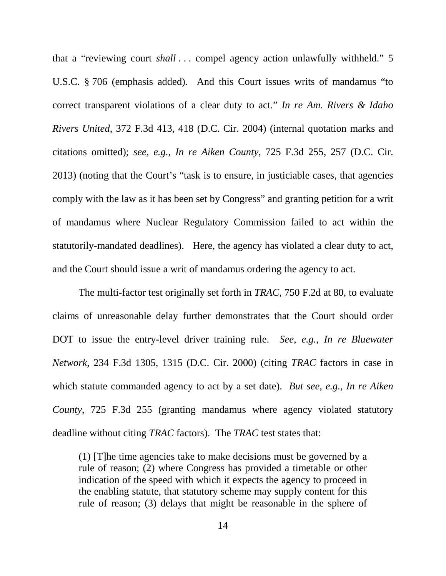that a "reviewing court *shall* ... compel agency action unlawfully withheld." 5 U.S.C. § 706 (emphasis added). And this Court issues writs of mandamus "to correct transparent violations of a clear duty to act." *In re Am. Rivers & Idaho Rivers United*, 372 F.3d 413, 418 (D.C. Cir. 2004) (internal quotation marks and citations omitted); *see*, *e.g.*, *In re Aiken County*, 725 F.3d 255, 257 (D.C. Cir. 2013) (noting that the Court's "task is to ensure, in justiciable cases, that agencies comply with the law as it has been set by Congress" and granting petition for a writ of mandamus where Nuclear Regulatory Commission failed to act within the statutorily-mandated deadlines). Here, the agency has violated a clear duty to act, and the Court should issue a writ of mandamus ordering the agency to act.

 The multi-factor test originally set forth in *TRAC*, 750 F.2d at 80, to evaluate claims of unreasonable delay further demonstrates that the Court should order DOT to issue the entry-level driver training rule. *See*, *e.g.*, *In re Bluewater Network*, 234 F.3d 1305, 1315 (D.C. Cir. 2000) (citing *TRAC* factors in case in which statute commanded agency to act by a set date). *But see*, *e.g.*, *In re Aiken County*, 725 F.3d 255 (granting mandamus where agency violated statutory deadline without citing *TRAC* factors). The *TRAC* test states that:

(1) [T]he time agencies take to make decisions must be governed by a rule of reason; (2) where Congress has provided a timetable or other indication of the speed with which it expects the agency to proceed in the enabling statute, that statutory scheme may supply content for this rule of reason; (3) delays that might be reasonable in the sphere of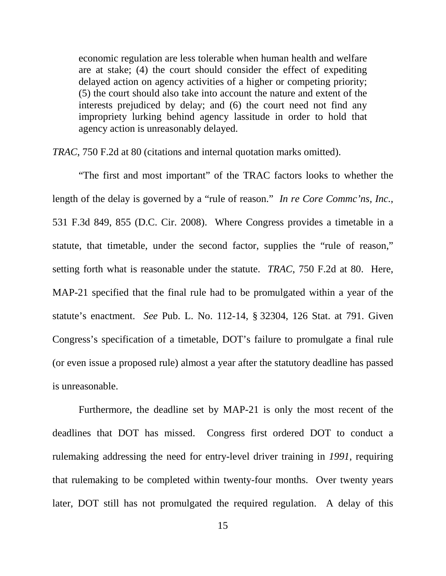economic regulation are less tolerable when human health and welfare are at stake; (4) the court should consider the effect of expediting delayed action on agency activities of a higher or competing priority; (5) the court should also take into account the nature and extent of the interests prejudiced by delay; and (6) the court need not find any impropriety lurking behind agency lassitude in order to hold that agency action is unreasonably delayed.

*TRAC*, 750 F.2d at 80 (citations and internal quotation marks omitted).

"The first and most important" of the TRAC factors looks to whether the length of the delay is governed by a "rule of reason." *In re Core Commc'ns, Inc.*, 531 F.3d 849, 855 (D.C. Cir. 2008). Where Congress provides a timetable in a statute, that timetable, under the second factor, supplies the "rule of reason," setting forth what is reasonable under the statute. *TRAC*, 750 F.2d at 80. Here, MAP-21 specified that the final rule had to be promulgated within a year of the statute's enactment. *See* Pub. L. No. 112-14, § 32304, 126 Stat. at 791. Given Congress's specification of a timetable, DOT's failure to promulgate a final rule (or even issue a proposed rule) almost a year after the statutory deadline has passed is unreasonable.

Furthermore, the deadline set by MAP-21 is only the most recent of the deadlines that DOT has missed. Congress first ordered DOT to conduct a rulemaking addressing the need for entry-level driver training in *1991*, requiring that rulemaking to be completed within twenty-four months. Over twenty years later, DOT still has not promulgated the required regulation. A delay of this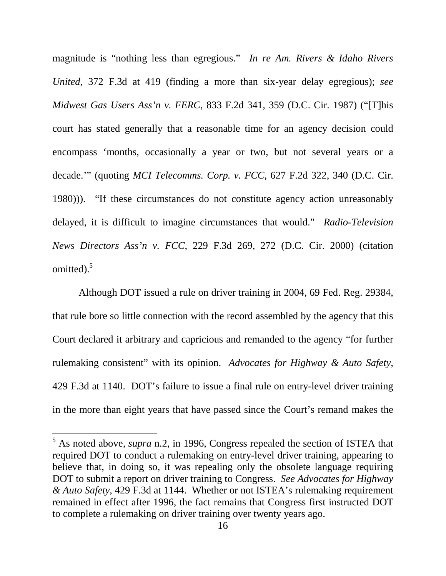magnitude is "nothing less than egregious." *In re Am. Rivers & Idaho Rivers United*, 372 F.3d at 419 (finding a more than six-year delay egregious); *see Midwest Gas Users Ass'n v. FERC*, 833 F.2d 341, 359 (D.C. Cir. 1987) ("[T]his court has stated generally that a reasonable time for an agency decision could encompass 'months, occasionally a year or two, but not several years or a decade.'" (quoting *MCI Telecomms. Corp. v. FCC*, 627 F.2d 322, 340 (D.C. Cir. 1980))). "If these circumstances do not constitute agency action unreasonably delayed, it is difficult to imagine circumstances that would." *Radio-Television News Directors Ass'n v. FCC*, 229 F.3d 269, 272 (D.C. Cir. 2000) (citation omitted). $5$ 

Although DOT issued a rule on driver training in 2004, 69 Fed. Reg. 29384, that rule bore so little connection with the record assembled by the agency that this Court declared it arbitrary and capricious and remanded to the agency "for further rulemaking consistent" with its opinion. *Advocates for Highway & Auto Safety*, 429 F.3d at 1140. DOT's failure to issue a final rule on entry-level driver training in the more than eight years that have passed since the Court's remand makes the

 $\overline{a}$ 

<sup>&</sup>lt;sup>5</sup> As noted above, *supra* n.2, in 1996, Congress repealed the section of ISTEA that required DOT to conduct a rulemaking on entry-level driver training, appearing to believe that, in doing so, it was repealing only the obsolete language requiring DOT to submit a report on driver training to Congress. *See Advocates for Highway & Auto Safety*, 429 F.3d at 1144. Whether or not ISTEA's rulemaking requirement remained in effect after 1996, the fact remains that Congress first instructed DOT to complete a rulemaking on driver training over twenty years ago.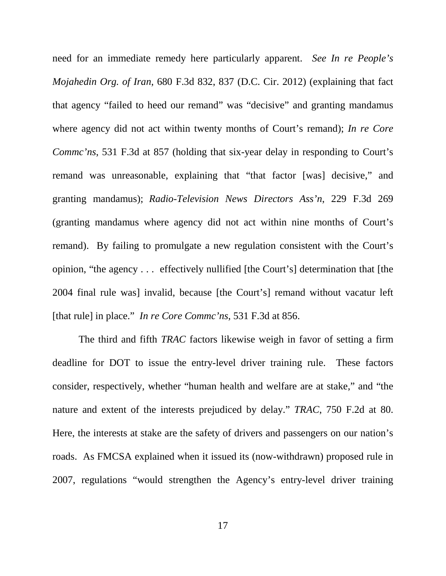need for an immediate remedy here particularly apparent. *See In re People's Mojahedin Org. of Iran*, 680 F.3d 832, 837 (D.C. Cir. 2012) (explaining that fact that agency "failed to heed our remand" was "decisive" and granting mandamus where agency did not act within twenty months of Court's remand); *In re Core Commc'ns*, 531 F.3d at 857 (holding that six-year delay in responding to Court's remand was unreasonable, explaining that "that factor [was] decisive," and granting mandamus); *Radio-Television News Directors Ass'n*, 229 F.3d 269 (granting mandamus where agency did not act within nine months of Court's remand). By failing to promulgate a new regulation consistent with the Court's opinion, "the agency . . . effectively nullified [the Court's] determination that [the 2004 final rule was] invalid, because [the Court's] remand without vacatur left [that rule] in place." *In re Core Commc'ns*, 531 F.3d at 856.

The third and fifth *TRAC* factors likewise weigh in favor of setting a firm deadline for DOT to issue the entry-level driver training rule. These factors consider, respectively, whether "human health and welfare are at stake," and "the nature and extent of the interests prejudiced by delay." *TRAC*, 750 F.2d at 80. Here, the interests at stake are the safety of drivers and passengers on our nation's roads. As FMCSA explained when it issued its (now-withdrawn) proposed rule in 2007, regulations "would strengthen the Agency's entry-level driver training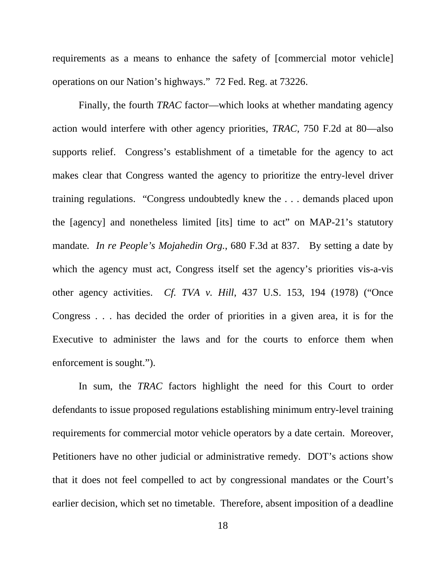requirements as a means to enhance the safety of [commercial motor vehicle] operations on our Nation's highways." 72 Fed. Reg. at 73226.

Finally, the fourth *TRAC* factor—which looks at whether mandating agency action would interfere with other agency priorities, *TRAC*, 750 F.2d at 80—also supports relief. Congress's establishment of a timetable for the agency to act makes clear that Congress wanted the agency to prioritize the entry-level driver training regulations. "Congress undoubtedly knew the . . . demands placed upon the [agency] and nonetheless limited [its] time to act" on MAP-21's statutory mandate*. In re People's Mojahedin Org.*, 680 F.3d at 837. By setting a date by which the agency must act, Congress itself set the agency's priorities vis-a-vis other agency activities. *Cf. TVA v. Hill*, 437 U.S. 153, 194 (1978) ("Once Congress . . . has decided the order of priorities in a given area, it is for the Executive to administer the laws and for the courts to enforce them when enforcement is sought.").

In sum, the *TRAC* factors highlight the need for this Court to order defendants to issue proposed regulations establishing minimum entry-level training requirements for commercial motor vehicle operators by a date certain. Moreover, Petitioners have no other judicial or administrative remedy. DOT's actions show that it does not feel compelled to act by congressional mandates or the Court's earlier decision, which set no timetable. Therefore, absent imposition of a deadline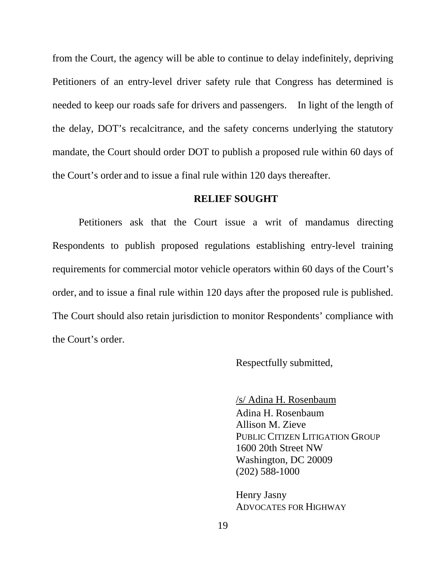from the Court, the agency will be able to continue to delay indefinitely, depriving Petitioners of an entry-level driver safety rule that Congress has determined is needed to keep our roads safe for drivers and passengers. In light of the length of the delay, DOT's recalcitrance, and the safety concerns underlying the statutory mandate, the Court should order DOT to publish a proposed rule within 60 days of the Court's order and to issue a final rule within 120 days thereafter.

#### **RELIEF SOUGHT**

Petitioners ask that the Court issue a writ of mandamus directing Respondents to publish proposed regulations establishing entry-level training requirements for commercial motor vehicle operators within 60 days of the Court's order, and to issue a final rule within 120 days after the proposed rule is published. The Court should also retain jurisdiction to monitor Respondents' compliance with the Court's order.

Respectfully submitted,

 /s/ Adina H. Rosenbaum Adina H. Rosenbaum Allison M. Zieve PUBLIC CITIZEN LITIGATION GROUP 1600 20th Street NW Washington, DC 20009 (202) 588-1000

Henry Jasny ADVOCATES FOR HIGHWAY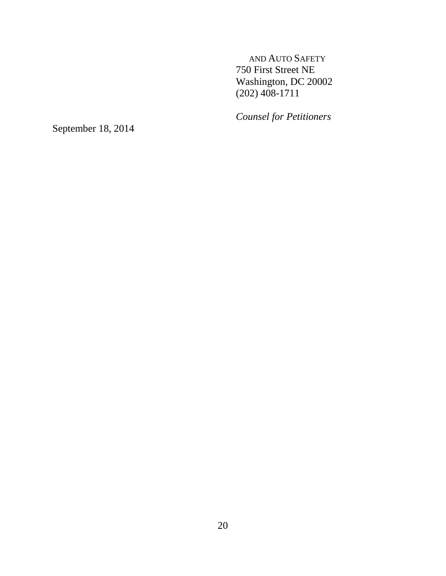AND AUTO SAFETY 750 First Street NE Washington, DC 20002 (202) 408-1711

*Counsel for Petitioners* 

September 18, 2014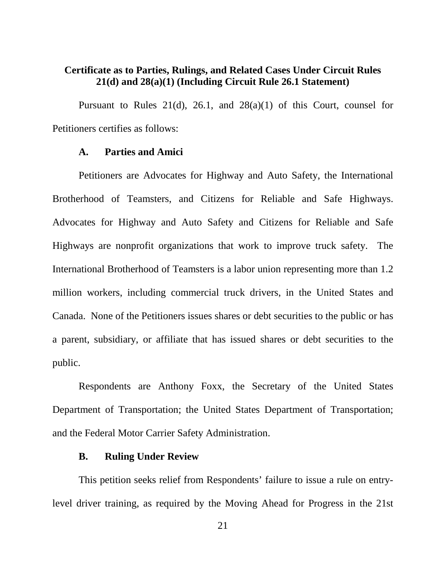## **Certificate as to Parties, Rulings, and Related Cases Under Circuit Rules 21(d) and 28(a)(1) (Including Circuit Rule 26.1 Statement)**

Pursuant to Rules  $21(d)$ ,  $26.1$ , and  $28(a)(1)$  of this Court, counsel for Petitioners certifies as follows:

#### **A. Parties and Amici**

 Petitioners are Advocates for Highway and Auto Safety, the International Brotherhood of Teamsters, and Citizens for Reliable and Safe Highways. Advocates for Highway and Auto Safety and Citizens for Reliable and Safe Highways are nonprofit organizations that work to improve truck safety. The International Brotherhood of Teamsters is a labor union representing more than 1.2 million workers, including commercial truck drivers, in the United States and Canada. None of the Petitioners issues shares or debt securities to the public or has a parent, subsidiary, or affiliate that has issued shares or debt securities to the public.

Respondents are Anthony Foxx, the Secretary of the United States Department of Transportation; the United States Department of Transportation; and the Federal Motor Carrier Safety Administration.

## **B. Ruling Under Review**

This petition seeks relief from Respondents' failure to issue a rule on entrylevel driver training, as required by the Moving Ahead for Progress in the 21st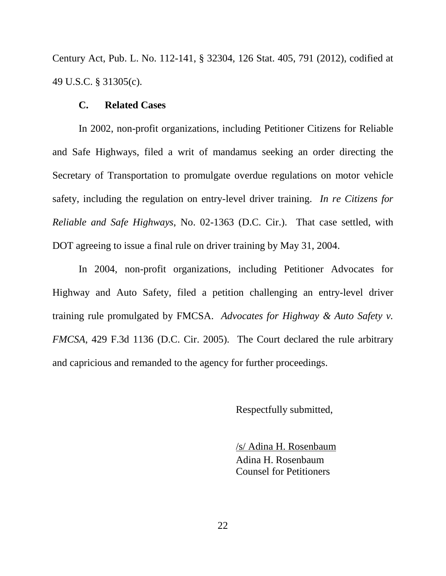Century Act, Pub. L. No. 112-141, § 32304, 126 Stat. 405, 791 (2012), codified at 49 U.S.C. § 31305(c).

#### **C. Related Cases**

In 2002, non-profit organizations, including Petitioner Citizens for Reliable and Safe Highways, filed a writ of mandamus seeking an order directing the Secretary of Transportation to promulgate overdue regulations on motor vehicle safety, including the regulation on entry-level driver training. *In re Citizens for Reliable and Safe Highways*, No. 02-1363 (D.C. Cir.). That case settled, with DOT agreeing to issue a final rule on driver training by May 31, 2004.

 In 2004, non-profit organizations, including Petitioner Advocates for Highway and Auto Safety, filed a petition challenging an entry-level driver training rule promulgated by FMCSA. *Advocates for Highway & Auto Safety v. FMCSA*, 429 F.3d 1136 (D.C. Cir. 2005). The Court declared the rule arbitrary and capricious and remanded to the agency for further proceedings.

Respectfully submitted,

 /s/ Adina H. Rosenbaum Adina H. Rosenbaum Counsel for Petitioners